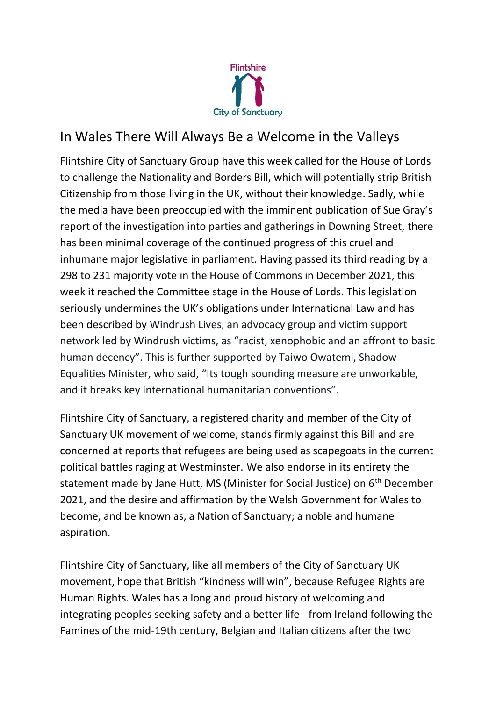

## In Wales There Will Always Be a Welcome in the Valleys

Flintshire City of Sanctuary Group have this week called for the House of Lords to challenge the Nationality and Borders Bill, which will potentially strip British Citizenship from those living in the UK, without their knowledge. Sadly, while the media have been preoccupied with the imminent publication of Sue Gray's report of the investigation into parties and gatherings in Downing Street, there has been minimal coverage of the continued progress of this cruel and inhumane major legislative in parliament. Having passed its third reading by a 298 to 231 majority vote in the House of Commons in December 2021, this week it reached the Committee stage in the House of Lords. This legislation seriously undermines the UK's obligations under International Law and has been described by Windrush Lives, an advocacy group and victim support network led by Windrush victims, as "racist, xenophobic and an affront to basic human decency". This is further supported by Taiwo Owatemi, Shadow Equalities Minister, who said, "Its tough sounding measure are unworkable, and it breaks key international humanitarian conventions".

Flintshire City of Sanctuary, a registered charity and member of the City of Sanctuary UK movement of welcome, stands firmly against this Bill and are concerned at reports that refugees are being used as scapegoats in the current political battles raging at Westminster. We also endorse in its entirety the statement made by Jane Hutt, MS (Minister for Social Justice) on 6<sup>th</sup> December 2021, and the desire and affirmation by the Welsh Government for Wales to become, and be known as, a Nation of Sanctuary; a noble and humane aspiration.

Flintshire City of Sanctuary, like all members of the City of Sanctuary UK movement, hope that British "kindness will win", because Refugee Rights are Human Rights. Wales has a long and proud history of welcoming and integrating peoples seeking safety and a better life - from Ireland following the Famines of the mid-19th century, Belgian and Italian citizens after the two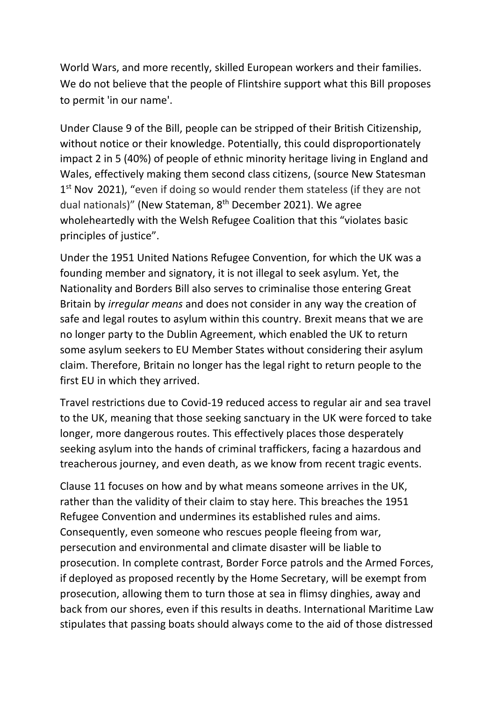World Wars, and more recently, skilled European workers and their families. We do not believe that the people of Flintshire support what this Bill proposes to permit 'in our name'.

Under Clause 9 of the Bill, people can be stripped of their British Citizenship, without notice or their knowledge. Potentially, this could disproportionately impact 2 in 5 (40%) of people of ethnic minority heritage living in England and Wales, effectively making them second class citizens, (source New Statesman 1<sup>st</sup> Nov 2021), "even if doing so would render them stateless (if they are not dual nationals)" (New Stateman, 8<sup>th</sup> December 2021). We agree wholeheartedly with the Welsh Refugee Coalition that this "violates basic principles of justice".

Under the 1951 United Nations Refugee Convention, for which the UK was a founding member and signatory, it is not illegal to seek asylum. Yet, the Nationality and Borders Bill also serves to criminalise those entering Great Britain by *irregular means* and does not consider in any way the creation of safe and legal routes to asylum within this country. Brexit means that we are no longer party to the Dublin Agreement, which enabled the UK to return some asylum seekers to EU Member States without considering their asylum claim. Therefore, Britain no longer has the legal right to return people to the first EU in which they arrived.

Travel restrictions due to Covid-19 reduced access to regular air and sea travel to the UK, meaning that those seeking sanctuary in the UK were forced to take longer, more dangerous routes. This effectively places those desperately seeking asylum into the hands of criminal traffickers, facing a hazardous and treacherous journey, and even death, as we know from recent tragic events.

Clause 11 focuses on how and by what means someone arrives in the UK, rather than the validity of their claim to stay here. This breaches the 1951 Refugee Convention and undermines its established rules and aims. Consequently, even someone who rescues people fleeing from war, persecution and environmental and climate disaster will be liable to prosecution. In complete contrast, Border Force patrols and the Armed Forces, if deployed as proposed recently by the Home Secretary, will be exempt from prosecution, allowing them to turn those at sea in flimsy dinghies, away and back from our shores, even if this results in deaths. International Maritime Law stipulates that passing boats should always come to the aid of those distressed